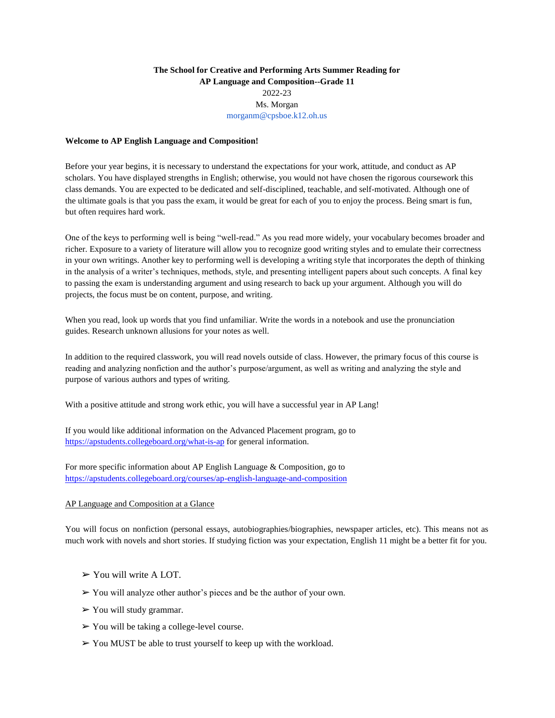# **The School for Creative and Performing Arts Summer Reading for AP Language and Composition--Grade 11**  2022-23 Ms. Morgan morganm@cpsboe.k12.oh.us

### **Welcome to AP English Language and Composition!**

Before your year begins, it is necessary to understand the expectations for your work, attitude, and conduct as AP scholars. You have displayed strengths in English; otherwise, you would not have chosen the rigorous coursework this class demands. You are expected to be dedicated and self-disciplined, teachable, and self-motivated. Although one of the ultimate goals is that you pass the exam, it would be great for each of you to enjoy the process. Being smart is fun, but often requires hard work.

One of the keys to performing well is being "well-read." As you read more widely, your vocabulary becomes broader and richer. Exposure to a variety of literature will allow you to recognize good writing styles and to emulate their correctness in your own writings. Another key to performing well is developing a writing style that incorporates the depth of thinking in the analysis of a writer's techniques, methods, style, and presenting intelligent papers about such concepts. A final key to passing the exam is understanding argument and using research to back up your argument. Although you will do projects, the focus must be on content, purpose, and writing.

When you read, look up words that you find unfamiliar. Write the words in a notebook and use the pronunciation guides. Research unknown allusions for your notes as well.

In addition to the required classwork, you will read novels outside of class. However, the primary focus of this course is reading and analyzing nonfiction and the author's purpose/argument, as well as writing and analyzing the style and purpose of various authors and types of writing.

With a positive attitude and strong work ethic, you will have a successful year in AP Lang!

If you would like additional information on the Advanced Placement program, go to <https://apstudents.collegeboard.org/what-is-ap> for general information.

For more specific information about AP English Language & Composition, go to <https://apstudents.collegeboard.org/courses/ap-english-language-and-composition>

# AP Language and Composition at a Glance

You will focus on nonfiction (personal essays, autobiographies/biographies, newspaper articles, etc). This means not as much work with novels and short stories. If studying fiction was your expectation, English 11 might be a better fit for you.

- $\triangleright$  You will write A LOT.
- ➢ You will analyze other author's pieces and be the author of your own.
- $\triangleright$  You will study grammar.
- $\triangleright$  You will be taking a college-level course.
- $\triangleright$  You MUST be able to trust yourself to keep up with the workload.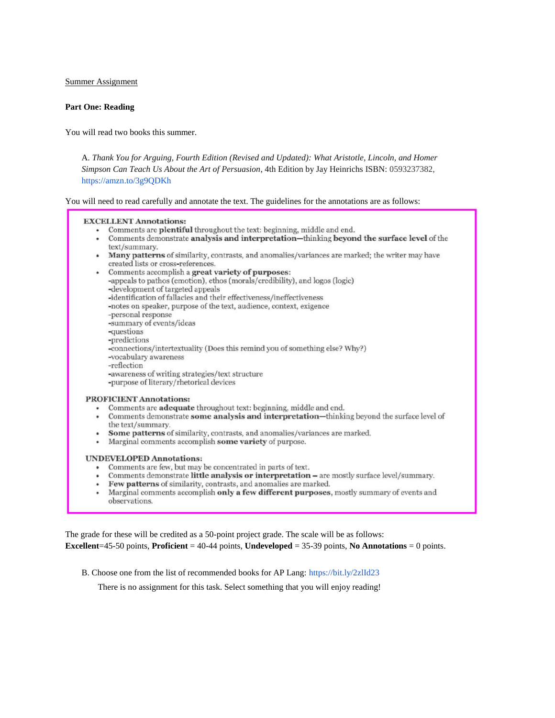Summer Assignment

### **Part One: Reading**

You will read two books this summer.

A. *Thank You for Arguing, Fourth Edition (Revised and Updated): What Aristotle, Lincoln, and Homer Simpson Can Teach Us About the Art of Persuasion*, 4th Edition by Jay Heinrichs ISBN: 0593237382, https://amzn.to/3g9QDKh

You will need to read carefully and annotate the text. The guidelines for the annotations are as follows:

#### **EXCELLENT Annotations:**

- Comments are plentiful throughout the text: beginning, middle and end.
- Comments demonstrate analysis and interpretation-thinking beyond the surface level of the text/summary.
- Many patterns of similarity, contrasts, and anomalies/variances are marked; the writer may have created lists or cross-references.
- Comments accomplish a great variety of purposes: -appeals to pathos (emotion), ethos (morals/credibility), and logos (logic) -development of targeted appeals -identification of fallacies and their effectiveness/ineffectiveness -notes on speaker, purpose of the text, audience, context, exigence -personal response -summary of events/ideas -questions -predictions -connections/intertextuality (Does this remind you of something else? Why?) -vocabulary awareness -reflection -awareness of writing strategies/text structure -purpose of literary/rhetorical devices

#### **PROFICIENT Annotations:**

- Comments are **adequate** throughout text: beginning, middle and end.
- Comments demonstrate some analysis and interpretation—thinking beyond the surface level of the text/summary.
- Some patterns of similarity, contrasts, and anomalies/variances are marked.
- Marginal comments accomplish some variety of purpose.

#### **UNDEVELOPED Annotations:**

- Comments are few, but may be concentrated in parts of text.
- Comments demonstrate little analysis or interpretation are mostly surface level/summary.
- Few patterns of similarity, contrasts, and anomalies are marked.
- Marginal comments accomplish only a few different purposes, mostly summary of events and observations.

The grade for these will be credited as a 50-point project grade. The scale will be as follows: **Excellent**=45-50 points, **Proficient** = 40-44 points, **Undeveloped** = 35-39 points, **No Annotations** = 0 points.

B. Choose one from the list of recommended books for AP Lang: https://bit.ly/2zlId23

There is no assignment for this task. Select something that you will enjoy reading!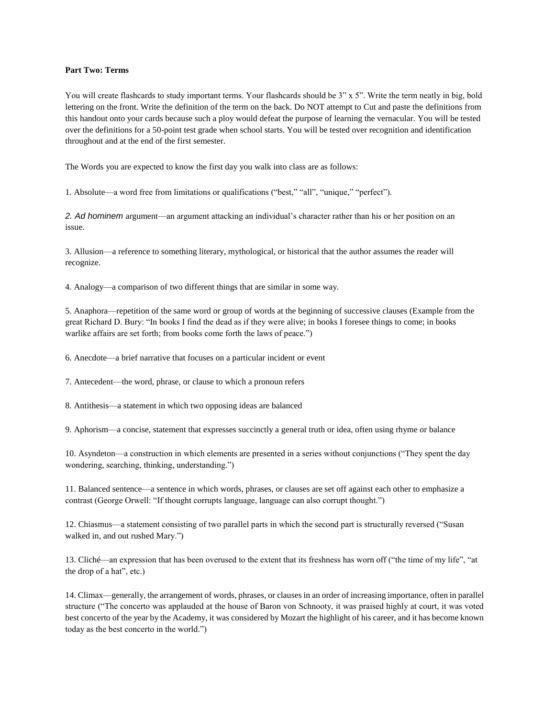# **Part Two: Terms**

You will create flashcards to study important terms. Your flashcards should be 3" x 5". Write the term neatly in big, bold lettering on the front. Write the definition of the term on the back. Do NOT attempt to Cut and paste the definitions from this handout onto your cards because such a ploy would defeat the purpose of learning the vernacular. You will be tested over the definitions for a 50-point test grade when school starts. You will be tested over recognition and identification throughout and at the end of the first semester.

The Words you are expected to know the first day you walk into class are as follows:

1. Absolute—a word free from limitations or qualifications ("best," "all", "unique," "perfect").

*2. Ad hominem* argument—an argument attacking an individual's character rather than his or her position on an issue.

3. Allusion—a reference to something literary, mythological, or historical that the author assumes the reader will recognize.

4. Analogy—a comparison of two different things that are similar in some way.

5. Anaphora—repetition of the same word or group of words at the beginning of successive clauses (Example from the great Richard D. Bury: "In books I find the dead as if they were alive; in books I foresee things to come; in books warlike affairs are set forth; from books come forth the laws of peace.")

6. Anecdote—a brief narrative that focuses on a particular incident or event

7. Antecedent—the word, phrase, or clause to which a pronoun refers

8. Antithesis—a statement in which two opposing ideas are balanced

9. Aphorism—a concise, statement that expresses succinctly a general truth or idea, often using rhyme or balance

10. Asyndeton—a construction in which elements are presented in a series without conjunctions ("They spent the day wondering, searching, thinking, understanding.")

11. Balanced sentence—a sentence in which words, phrases, or clauses are set off against each other to emphasize a contrast (George Orwell: "If thought corrupts language, language can also corrupt thought.")

12. Chiasmus—a statement consisting of two parallel parts in which the second part is structurally reversed ("Susan walked in, and out rushed Mary.")

13. Cliché—an expression that has been overused to the extent that its freshness has worn off ("the time of my life", "at the drop of a hat", etc.)

14. Climax—generally, the arrangement of words, phrases, or clauses in an order of increasing importance, often in parallel structure ("The concerto was applauded at the house of Baron von Schnooty, it was praised highly at court, it was voted best concerto of the year by the Academy, it was considered by Mozart the highlight of his career, and it has become known today as the best concerto in the world.")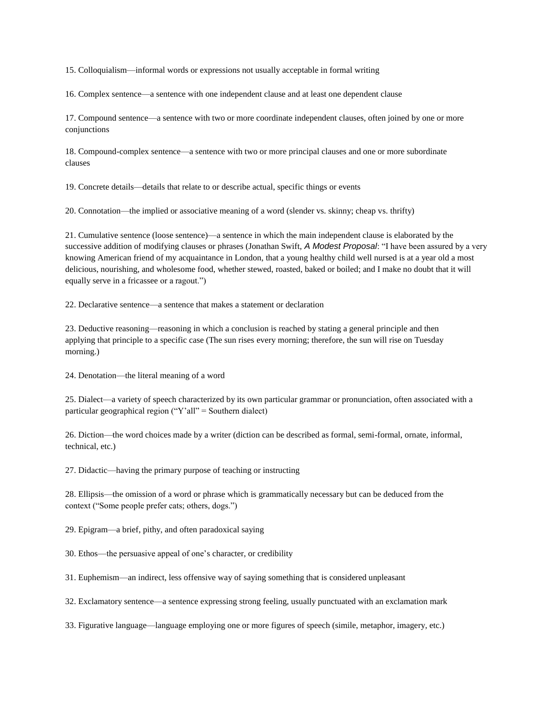15. Colloquialism—informal words or expressions not usually acceptable in formal writing

16. Complex sentence—a sentence with one independent clause and at least one dependent clause

17. Compound sentence—a sentence with two or more coordinate independent clauses, often joined by one or more conjunctions

18. Compound-complex sentence—a sentence with two or more principal clauses and one or more subordinate clauses

19. Concrete details—details that relate to or describe actual, specific things or events

20. Connotation—the implied or associative meaning of a word (slender vs. skinny; cheap vs. thrifty)

21. Cumulative sentence (loose sentence)—a sentence in which the main independent clause is elaborated by the successive addition of modifying clauses or phrases (Jonathan Swift, *A Modest Proposal*: "I have been assured by a very knowing American friend of my acquaintance in London, that a young healthy child well nursed is at a year old a most delicious, nourishing, and wholesome food, whether stewed, roasted, baked or boiled; and I make no doubt that it will equally serve in a fricassee or a ragout.")

22. Declarative sentence—a sentence that makes a statement or declaration

23. Deductive reasoning—reasoning in which a conclusion is reached by stating a general principle and then applying that principle to a specific case (The sun rises every morning; therefore, the sun will rise on Tuesday morning.)

24. Denotation—the literal meaning of a word

25. Dialect—a variety of speech characterized by its own particular grammar or pronunciation, often associated with a particular geographical region ("Y'all" = Southern dialect)

26. Diction—the word choices made by a writer (diction can be described as formal, semi-formal, ornate, informal, technical, etc.)

27. Didactic—having the primary purpose of teaching or instructing

28. Ellipsis—the omission of a word or phrase which is grammatically necessary but can be deduced from the context ("Some people prefer cats; others, dogs.")

29. Epigram—a brief, pithy, and often paradoxical saying

30. Ethos—the persuasive appeal of one's character, or credibility

31. Euphemism—an indirect, less offensive way of saying something that is considered unpleasant

32. Exclamatory sentence—a sentence expressing strong feeling, usually punctuated with an exclamation mark

33. Figurative language—language employing one or more figures of speech (simile, metaphor, imagery, etc.)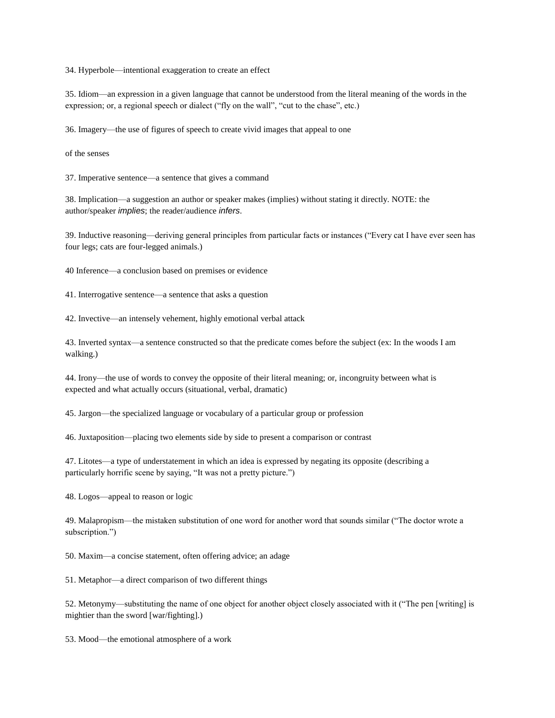34. Hyperbole—intentional exaggeration to create an effect

35. Idiom—an expression in a given language that cannot be understood from the literal meaning of the words in the expression; or, a regional speech or dialect ("fly on the wall", "cut to the chase", etc.)

36. Imagery—the use of figures of speech to create vivid images that appeal to one

of the senses

37. Imperative sentence—a sentence that gives a command

38. Implication—a suggestion an author or speaker makes (implies) without stating it directly. NOTE: the author/speaker *implies*; the reader/audience *infers*.

39. Inductive reasoning—deriving general principles from particular facts or instances ("Every cat I have ever seen has four legs; cats are four-legged animals.)

40 Inference—a conclusion based on premises or evidence

41. Interrogative sentence—a sentence that asks a question

42. Invective—an intensely vehement, highly emotional verbal attack

43. Inverted syntax—a sentence constructed so that the predicate comes before the subject (ex: In the woods I am walking.)

44. Irony—the use of words to convey the opposite of their literal meaning; or, incongruity between what is expected and what actually occurs (situational, verbal, dramatic)

45. Jargon—the specialized language or vocabulary of a particular group or profession

46. Juxtaposition—placing two elements side by side to present a comparison or contrast

47. Litotes—a type of understatement in which an idea is expressed by negating its opposite (describing a particularly horrific scene by saying, "It was not a pretty picture.")

48. Logos—appeal to reason or logic

49. Malapropism—the mistaken substitution of one word for another word that sounds similar ("The doctor wrote a subscription.")

50. Maxim—a concise statement, often offering advice; an adage

51. Metaphor—a direct comparison of two different things

52. Metonymy—substituting the name of one object for another object closely associated with it ("The pen [writing] is mightier than the sword [war/fighting].)

53. Mood—the emotional atmosphere of a work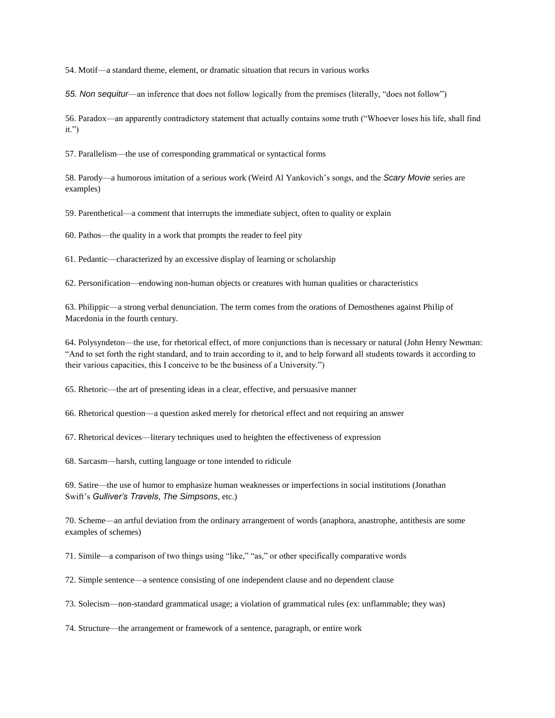54. Motif—a standard theme, element, or dramatic situation that recurs in various works

*55. Non sequitur*—an inference that does not follow logically from the premises (literally, "does not follow")

56. Paradox—an apparently contradictory statement that actually contains some truth ("Whoever loses his life, shall find it.")

57. Parallelism—the use of corresponding grammatical or syntactical forms

58. Parody—a humorous imitation of a serious work (Weird Al Yankovich's songs, and the *Scary Movie* series are examples)

59. Parenthetical—a comment that interrupts the immediate subject, often to quality or explain

60. Pathos—the quality in a work that prompts the reader to feel pity

61. Pedantic—characterized by an excessive display of learning or scholarship

62. Personification—endowing non-human objects or creatures with human qualities or characteristics

63. Philippic—a strong verbal denunciation. The term comes from the orations of Demosthenes against Philip of Macedonia in the fourth century.

64. Polysyndeton—the use, for rhetorical effect, of more conjunctions than is necessary or natural (John Henry Newman: "And to set forth the right standard, and to train according to it, and to help forward all students towards it according to their various capacities, this I conceive to be the business of a University.")

65. Rhetoric—the art of presenting ideas in a clear, effective, and persuasive manner

66. Rhetorical question—a question asked merely for rhetorical effect and not requiring an answer

67. Rhetorical devices—literary techniques used to heighten the effectiveness of expression

68. Sarcasm—harsh, cutting language or tone intended to ridicule

69. Satire—the use of humor to emphasize human weaknesses or imperfections in social institutions (Jonathan Swift's *Gulliver's Travels*, *The Simpsons*, etc.)

70. Scheme—an artful deviation from the ordinary arrangement of words (anaphora, anastrophe, antithesis are some examples of schemes)

71. Simile—a comparison of two things using "like," "as," or other specifically comparative words

72. Simple sentence—a sentence consisting of one independent clause and no dependent clause

73. Solecism—non-standard grammatical usage; a violation of grammatical rules (ex: unflammable; they was)

74. Structure—the arrangement or framework of a sentence, paragraph, or entire work